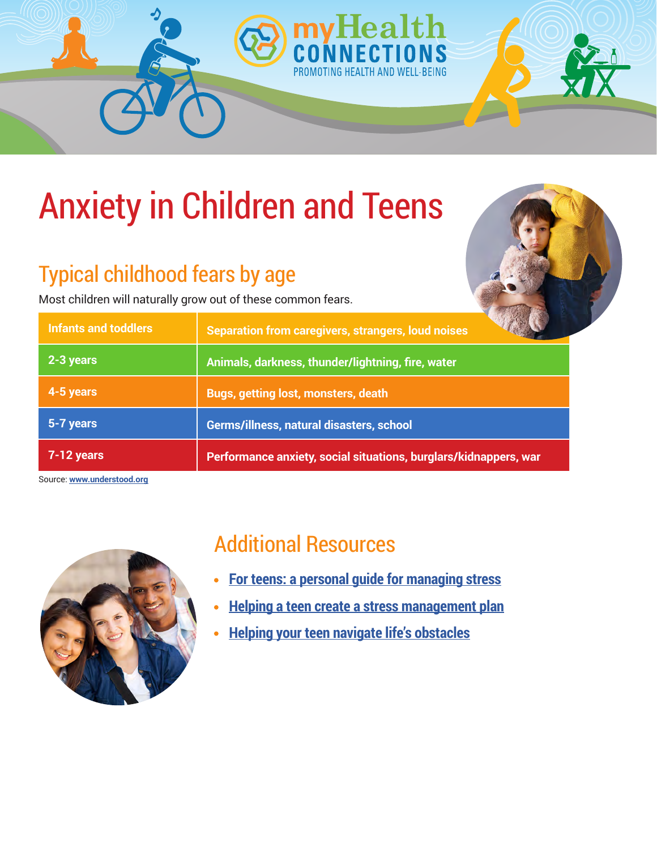

## Typical childhood fears by age

Most children will naturally grow out of these common fears.

| ses |  |  |
|-----|--|--|

| <b>Infants and toddlers</b> | <b>Separation from caregivers, strangers, loud noises</b>        |
|-----------------------------|------------------------------------------------------------------|
| $2 - 3$ years               | Animals, darkness, thunder/lightning, fire, water                |
| 4-5 years                   | <b>Bugs, getting lost, monsters, death</b>                       |
| 5-7 years                   | Germs/illness, natural disasters, school                         |
| $7-12$ years                | Performance anxiety, social situations, burglars/kidnappers, war |

Source: **[www.understood.org](http://www.understood.org)**



### Additional Resources

**[For teens: a personal guide for managing stress](https://www.healthychildren.org/English/healthy-living/emotional-wellness/Building-Resilience/Pages/For-Teens-A-Personal-Guide-for-Managing-Stress.aspx)**  $\bullet$ 

ND WFIT-BEING

- **[Helping a teen create a stress management plan](https://www.healthychildren.org/English/healthy-living/emotional-wellness/Building-Resilience/Pages/For-Teens-Creating-Your-Personal-Stress-Management-Plan.aspx)**  $\bullet$
- **[Helping your teen navigate life's obstacles](https://www.healthychildren.org/English/ages-stages/young-adult/Pages/College-Entrance-Exams.aspx/)**  $\bullet$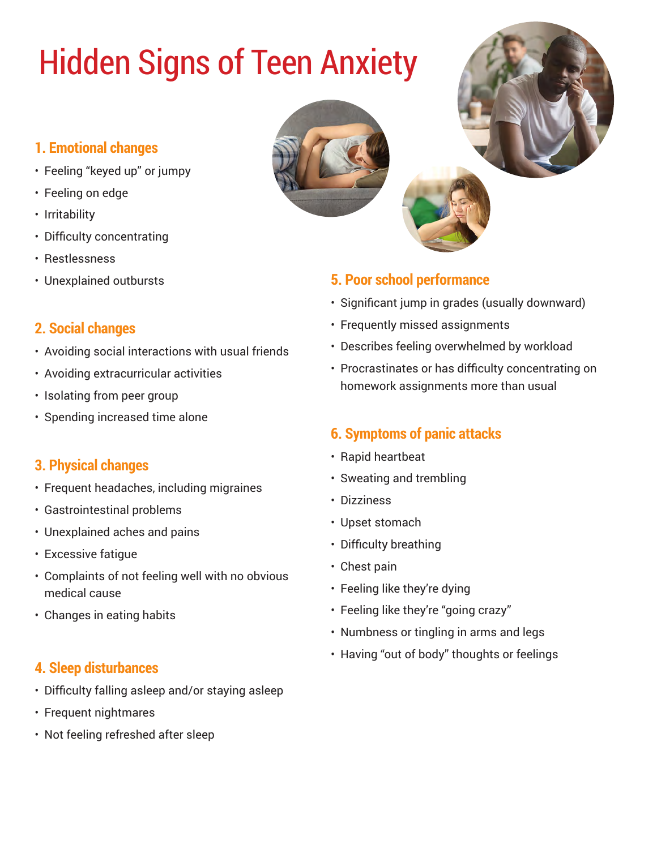# Hidden Signs of Teen Anxiety

### **1. Emotional changes**

- Feeling "keyed up" or jumpy
- Feeling on edge
- Irritability
- Difficulty concentrating
- Restlessness
- Unexplained outbursts

#### **2. Social changes**

- Avoiding social interactions with usual friends
- Avoiding extracurricular activities
- Isolating from peer group
- Spending increased time alone

#### **3. Physical changes**

- Frequent headaches, including migraines
- Gastrointestinal problems
- Unexplained aches and pains
- Excessive fatigue
- Complaints of not feeling well with no obvious medical cause
- Changes in eating habits

#### **4. Sleep disturbances**

- Difficulty falling asleep and/or staying asleep
- Frequent nightmares
- Not feeling refreshed after sleep



#### **5. Poor school performance**

- Significant jump in grades (usually downward)
- Frequently missed assignments
- Describes feeling overwhelmed by workload
- Procrastinates or has difficulty concentrating on homework assignments more than usual

#### **6. Symptoms of panic attacks**

- Rapid heartbeat
- Sweating and trembling
- Dizziness
- Upset stomach
- Difficulty breathing
- Chest pain
- Feeling like they're dying
- Feeling like they're "going crazy"
- Numbness or tingling in arms and legs
- Having "out of body" thoughts or feelings